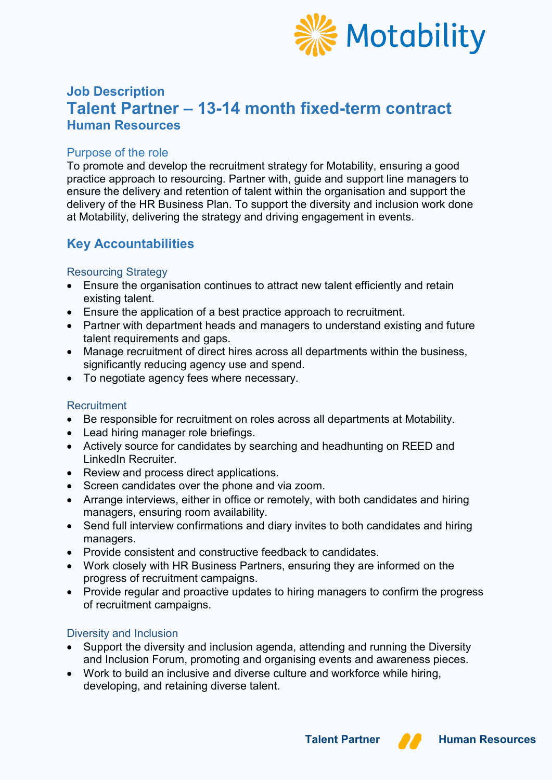

# **Job Description Talent Partner – 13-14 month fixed-term contract Human Resources**

#### Purpose of the role

To promote and develop the recruitment strategy for Motability, ensuring a good practice approach to resourcing. Partner with, guide and support line managers to ensure the delivery and retention of talent within the organisation and support the delivery of the HR Business Plan. To support the diversity and inclusion work done at Motability, delivering the strategy and driving engagement in events.

# **Key Accountabilities**

#### Resourcing Strategy

- Ensure the organisation continues to attract new talent efficiently and retain existing talent.
- Ensure the application of a best practice approach to recruitment.
- Partner with department heads and managers to understand existing and future talent requirements and gaps.
- Manage recruitment of direct hires across all departments within the business, significantly reducing agency use and spend.
- To negotiate agency fees where necessary.

#### **Recruitment**

- Be responsible for recruitment on roles across all departments at Motability.
- Lead hiring manager role briefings.
- Actively source for candidates by searching and headhunting on REED and LinkedIn Recruiter.
- Review and process direct applications.
- Screen candidates over the phone and via zoom.
- Arrange interviews, either in office or remotely, with both candidates and hiring managers, ensuring room availability.
- Send full interview confirmations and diary invites to both candidates and hiring managers.
- Provide consistent and constructive feedback to candidates.
- Work closely with HR Business Partners, ensuring they are informed on the progress of recruitment campaigns.
- Provide regular and proactive updates to hiring managers to confirm the progress of recruitment campaigns.

#### Diversity and Inclusion

- Support the diversity and inclusion agenda, attending and running the Diversity and Inclusion Forum, promoting and organising events and awareness pieces.
- Work to build an inclusive and diverse culture and workforce while hiring, developing, and retaining diverse talent.

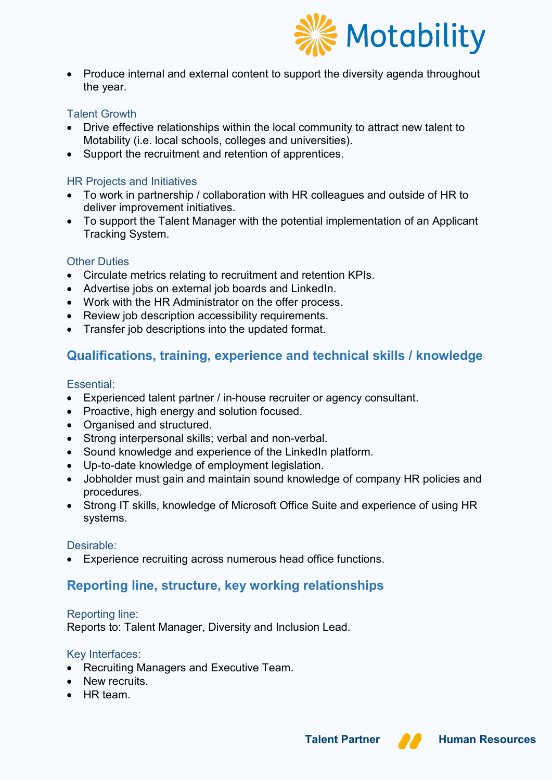

• Produce internal and external content to support the diversity agenda throughout the year.

#### Talent Growth

- Drive effective relationships within the local community to attract new talent to Motability (i.e. local schools, colleges and universities).
- Support the recruitment and retention of apprentices.

#### HR Projects and Initiatives

- To work in partnership / collaboration with HR colleagues and outside of HR to deliver improvement initiatives.
- To support the Talent Manager with the potential implementation of an Applicant Tracking System.

#### **Other Duties**

- Circulate metrics relating to recruitment and retention KPIs.
- Advertise jobs on external job boards and LinkedIn.
- Work with the HR Administrator on the offer process.
- Review job description accessibility requirements.
- Transfer job descriptions into the updated format.

# **Qualifications, training, experience and technical skills / knowledge**

#### Essential:

- Experienced talent partner / in-house recruiter or agency consultant.
- Proactive, high energy and solution focused.
- Organised and structured.
- Strong interpersonal skills; verbal and non-verbal.
- Sound knowledge and experience of the LinkedIn platform.
- Up-to-date knowledge of employment legislation.
- Jobholder must gain and maintain sound knowledge of company HR policies and procedures.
- Strong IT skills, knowledge of Microsoft Office Suite and experience of using HR systems.

#### Desirable:

• Experience recruiting across numerous head office functions.

# **Reporting line, structure, key working relationships**

#### Reporting line:

Reports to: Talent Manager, Diversity and Inclusion Lead.

#### Key Interfaces:

- Recruiting Managers and Executive Team.
- New recruits.
- HR team.